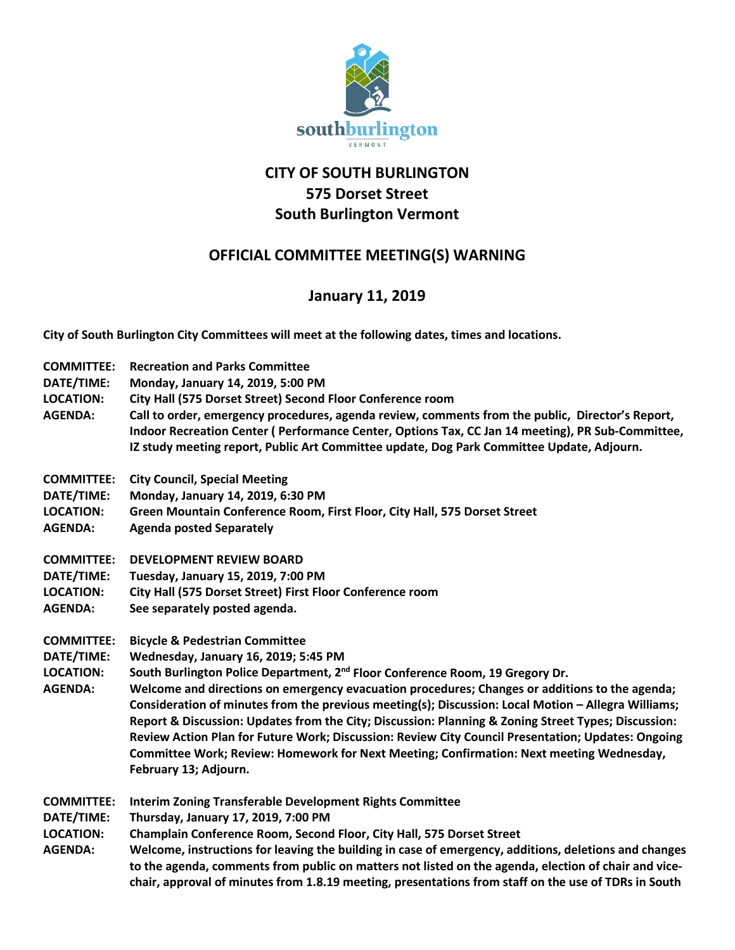

## **CITY OF SOUTH BURLINGTON 575 Dorset Street South Burlington Vermont**

## **OFFICIAL COMMITTEE MEETING(S) WARNING**

## **January 11, 2019**

**City of South Burlington City Committees will meet at the following dates, times and locations.** 

| <b>COMMITTEE:</b><br>DATE/TIME:<br><b>LOCATION:</b><br><b>AGENDA:</b> | <b>Recreation and Parks Committee</b><br>Monday, January 14, 2019, 5:00 PM<br>City Hall (575 Dorset Street) Second Floor Conference room<br>Call to order, emergency procedures, agenda review, comments from the public, Director's Report,<br>Indoor Recreation Center (Performance Center, Options Tax, CC Jan 14 meeting), PR Sub-Committee,<br>IZ study meeting report, Public Art Committee update, Dog Park Committee Update, Adjourn.                                                                                                                                                                                                                                                                             |
|-----------------------------------------------------------------------|---------------------------------------------------------------------------------------------------------------------------------------------------------------------------------------------------------------------------------------------------------------------------------------------------------------------------------------------------------------------------------------------------------------------------------------------------------------------------------------------------------------------------------------------------------------------------------------------------------------------------------------------------------------------------------------------------------------------------|
| <b>COMMITTEE:</b><br>DATE/TIME:<br><b>LOCATION:</b><br><b>AGENDA:</b> | <b>City Council, Special Meeting</b><br>Monday, January 14, 2019, 6:30 PM<br>Green Mountain Conference Room, First Floor, City Hall, 575 Dorset Street<br><b>Agenda posted Separately</b>                                                                                                                                                                                                                                                                                                                                                                                                                                                                                                                                 |
| <b>COMMITTEE:</b><br>DATE/TIME:<br><b>LOCATION:</b><br><b>AGENDA:</b> | <b>DEVELOPMENT REVIEW BOARD</b><br>Tuesday, January 15, 2019, 7:00 PM<br>City Hall (575 Dorset Street) First Floor Conference room<br>See separately posted agenda.                                                                                                                                                                                                                                                                                                                                                                                                                                                                                                                                                       |
| <b>COMMITTEE:</b><br>DATE/TIME:<br><b>LOCATION:</b><br><b>AGENDA:</b> | <b>Bicycle &amp; Pedestrian Committee</b><br>Wednesday, January 16, 2019; 5:45 PM<br>South Burlington Police Department, 2 <sup>nd</sup> Floor Conference Room, 19 Gregory Dr.<br>Welcome and directions on emergency evacuation procedures; Changes or additions to the agenda;<br>Consideration of minutes from the previous meeting(s); Discussion: Local Motion - Allegra Williams;<br>Report & Discussion: Updates from the City; Discussion: Planning & Zoning Street Types; Discussion:<br>Review Action Plan for Future Work; Discussion: Review City Council Presentation; Updates: Ongoing<br>Committee Work; Review: Homework for Next Meeting; Confirmation: Next meeting Wednesday,<br>February 13; Adjourn. |
| <b>COMMITTEE:</b><br>DATE/TIME:<br><b>LOCATION:</b><br><b>AGENDA:</b> | <b>Interim Zoning Transferable Development Rights Committee</b><br>Thursday, January 17, 2019, 7:00 PM<br>Champlain Conference Room, Second Floor, City Hall, 575 Dorset Street<br>Welcome, instructions for leaving the building in case of emergency, additions, deletions and changes<br>to the agenda, comments from public on matters not listed on the agenda, election of chair and vice-<br>chair, approval of minutes from 1.8.19 meeting, presentations from staff on the use of TDRs in South                                                                                                                                                                                                                  |